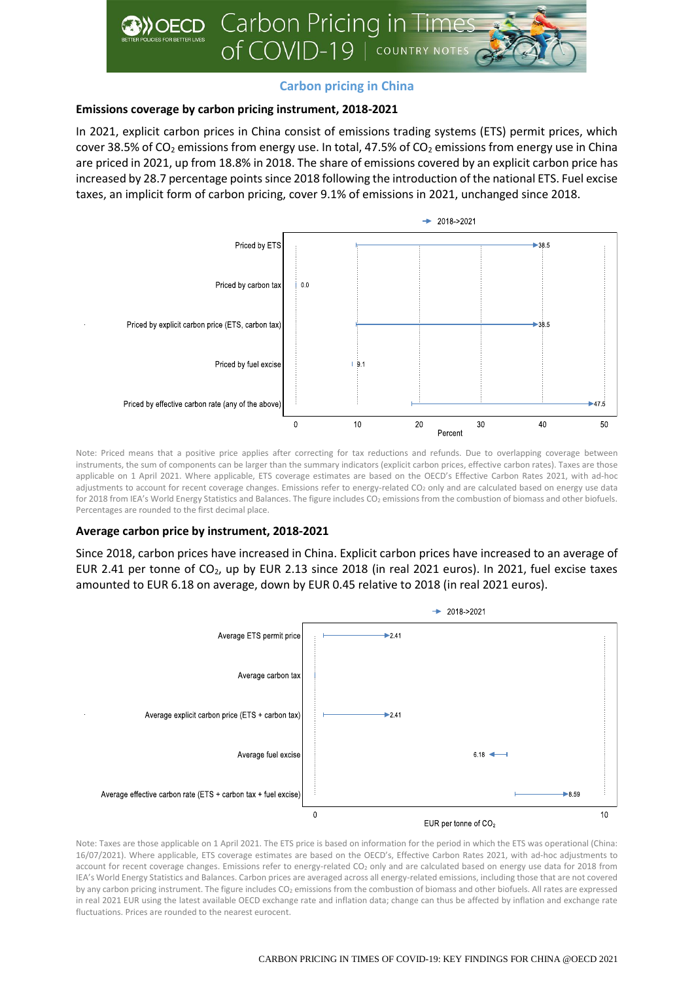

# **Carbon pricing in China**

## **Emissions coverage by carbon pricing instrument, 2018-2021**

In 2021, explicit carbon prices in China consist of emissions trading systems (ETS) permit prices, which cover 38.5% of CO<sub>2</sub> emissions from energy use. In total, 47.5% of CO<sub>2</sub> emissions from energy use in China are priced in 2021, up from 18.8% in 2018. The share of emissions covered by an explicit carbon price has increased by 28.7 percentage points since 2018 following the introduction of the national ETS. Fuel excise taxes, an implicit form of carbon pricing, cover 9.1% of emissions in 2021, unchanged since 2018.



Note: Priced means that a positive price applies after correcting for tax reductions and refunds. Due to overlapping coverage between instruments, the sum of components can be larger than the summary indicators (explicit carbon prices, effective carbon rates). Taxes are those applicable on 1 April 2021. Where applicable, ETS coverage estimates are based on the OECD's Effective Carbon Rates 2021, with ad-hoc adjustments to account for recent coverage changes. Emissions refer to energy-related CO<sub>2</sub> only and are calculated based on energy use data for 2018 from IEA's World Energy Statistics and Balances. The figure includes CO<sub>2</sub> emissions from the combustion of biomass and other biofuels. Percentages are rounded to the first decimal place.

## **Average carbon price by instrument, 2018-2021**

Since 2018, carbon prices have increased in China. Explicit carbon prices have increased to an average of EUR 2.41 per tonne of  $CO<sub>2</sub>$ , up by EUR 2.13 since 2018 (in real 2021 euros). In 2021, fuel excise taxes amounted to EUR 6.18 on average, down by EUR 0.45 relative to 2018 (in real 2021 euros).



Note: Taxes are those applicable on 1 April 2021. The ETS price is based on information for the period in which the ETS was operational (China: 16/07/2021). Where applicable, ETS coverage estimates are based on the OECD's, Effective Carbon Rates 2021, with ad-hoc adjustments to account for recent coverage changes. Emissions refer to energy-related CO<sub>2</sub> only and are calculated based on energy use data for 2018 from IEA's World Energy Statistics and Balances. Carbon prices are averaged across all energy-related emissions, including those that are not covered by any carbon pricing instrument. The figure includes CO<sub>2</sub> emissions from the combustion of biomass and other biofuels. All rates are expressed in real 2021 EUR using the latest available OECD exchange rate and inflation data; change can thus be affected by inflation and exchange rate fluctuations. Prices are rounded to the nearest eurocent.